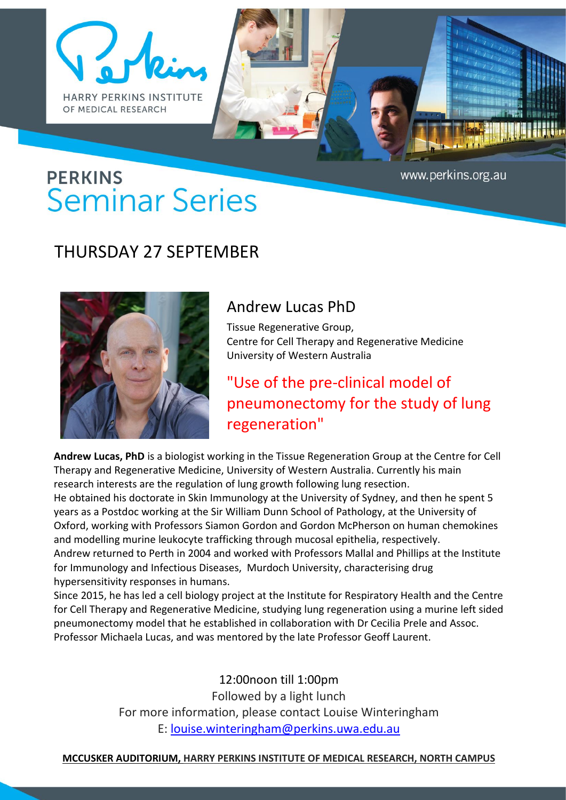



# **PERKINS Seminar Series**

### THURSDAY 27 SEPTEMBER



#### Andrew Lucas PhD

Tissue Regenerative Group, Centre for Cell Therapy and Regenerative Medicine University of Western Australia

## "Use of the pre-clinical model of pneumonectomy for the study of lung regeneration"

**Andrew Lucas, PhD** is a biologist working in the Tissue Regeneration Group at the Centre for Cell Therapy and Regenerative Medicine, University of Western Australia. Currently his main research interests are the regulation of lung growth following lung resection.

He obtained his doctorate in Skin Immunology at the University of Sydney, and then he spent 5 years as a Postdoc working at the Sir William Dunn School of Pathology, at the University of Oxford, working with Professors Siamon Gordon and Gordon McPherson on human chemokines and modelling murine leukocyte trafficking through mucosal epithelia, respectively.

Andrew returned to Perth in 2004 and worked with Professors Mallal and Phillips at the Institute for Immunology and Infectious Diseases, Murdoch University, characterising drug hypersensitivity responses in humans.

Since 2015, he has led a cell biology project at the Institute for Respiratory Health and the Centre for Cell Therapy and Regenerative Medicine, studying lung regeneration using a murine left sided pneumonectomy model that he established in collaboration with Dr Cecilia Prele and Assoc. Professor Michaela Lucas, and was mentored by the late Professor Geoff Laurent.

> 12:00noon till 1:00pm Followed by a light lunch For more information, please contact Louise Winteringham E: louise.winteringham@perkins.uwa.edu.au

#### **MCCUSKER AUDITORIUM, HARRY PERKINS INSTITUTE OF MEDICAL RESEARCH, NORTH CAMPUS**